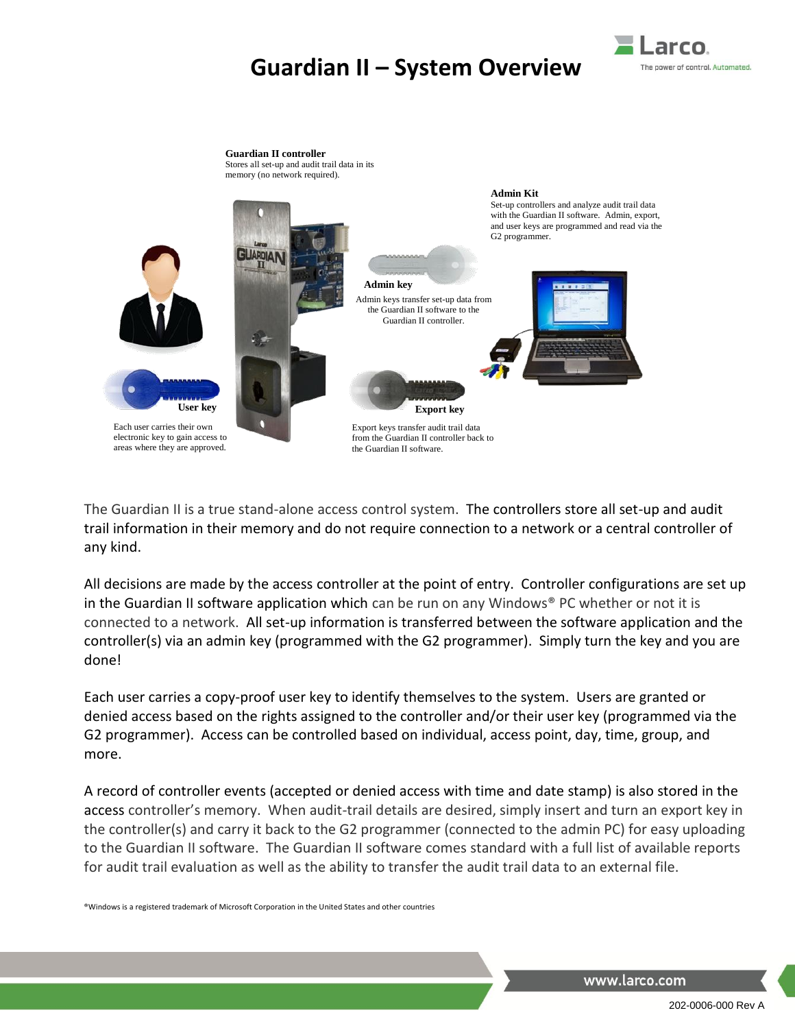## **Guardian II – System Overview**





The Guardian II is a true stand-alone access control system. The controllers store all set-up and audit trail information in their memory and do not require connection to a network or a central controller of any kind.

All decisions are made by the access controller at the point of entry. Controller configurations are set up in the Guardian II software application which can be run on any Windows® PC whether or not it is connected to a network. All set-up information is transferred between the software application and the controller(s) via an admin key (programmed with the G2 programmer). Simply turn the key and you are done!

Each user carries a copy-proof user key to identify themselves to the system. Users are granted or denied access based on the rights assigned to the controller and/or their user key (programmed via the G2 programmer). Access can be controlled based on individual, access point, day, time, group, and more.

A record of controller events (accepted or denied access with time and date stamp) is also stored in the access controller's memory. When audit-trail details are desired, simply insert and turn an export key in the controller(s) and carry it back to the G2 programmer (connected to the admin PC) for easy uploading to the Guardian II software. The Guardian II software comes standard with a full list of available reports for audit trail evaluation as well as the ability to transfer the audit trail data to an external file.

®Windows is a registered trademark of Microsoft Corporation in the United States and other countries

www.larco.com